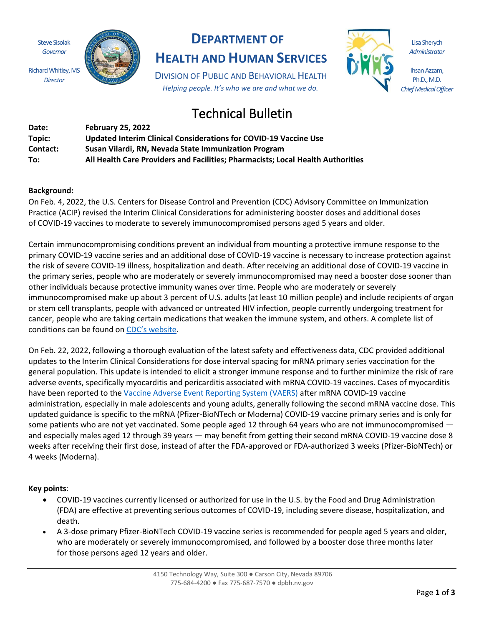Steve Sisolak *Governor*

*Director*



## **DEPARTMENT OF**

**HEALTH AND HUMAN SERVICES**

DIVISION OF PUBLIC AND BEHAVIORAL HEALTH *Helping people. It's who we are and what we do.*

# Technical Bulletin

| Date:    | <b>February 25, 2022</b>                                                        |
|----------|---------------------------------------------------------------------------------|
| Topic:   | Updated Interim Clinical Considerations for COVID-19 Vaccine Use                |
| Contact: | Susan Vilardi, RN, Nevada State Immunization Program                            |
| To:      | All Health Care Providers and Facilities; Pharmacists; Local Health Authorities |

#### **Background:**

On Feb. 4, 2022, the U.S. Centers for Disease Control and Prevention (CDC) Advisory Committee on Immunization Practice (ACIP) revised the Interim Clinical Considerations for administering booster doses and additional doses of COVID-19 vaccines to moderate to severely immunocompromised persons aged 5 years and older.

Certain immunocompromising conditions prevent an individual from mounting a protective immune response to the primary COVID-19 vaccine series and an additional dose of COVID-19 vaccine is necessary to increase protection against the risk of severe COVID-19 illness, hospitalization and death. After receiving an additional dose of COVID-19 vaccine in the primary series, people who are moderately or severely immunocompromised may need a booster dose sooner than other individuals because protective immunity wanes over time. People who are moderately or severely immunocompromised make up about 3 percent of U.S. adults (at least 10 million people) and include recipients of organ or stem cell transplants, people with advanced or untreated HIV infection, people currently undergoing treatment for cancer, people who are taking certain medications that weaken the immune system, and others. A complete list of conditions can be found on [CDC's website](https://www.cdc.gov/coronavirus/2019-ncov/vaccines/recommendations/immuno.html?s_cid=10483:immunocompromised%20and%20covid%20vaccine:sem.ga:p:RG:GM:gen:PTN:FY21).

On Feb. 22, 2022, following a thorough evaluation of the latest safety and effectiveness data, CDC provided additional updates to the Interim Clinical Considerations for dose interval spacing for mRNA primary series vaccination for the general population. This update is intended to elicit a stronger immune response and to further minimize the risk of rare adverse events, specifically myocarditis and pericarditis associated with mRNA COVID-19 vaccines. Cases of myocarditis have been reported to th[e Vaccine Adverse Event Reporting System \(VAERS\)](https://vaers.hhs.gov/index.html) after mRNA COVID-19 vaccine administration, especially in male adolescents and young adults, generally following the second mRNA vaccine dose. This updated guidance is specific to the mRNA (Pfizer-BioNTech or Moderna) COVID-19 vaccine primary series and is only for some patients who are not yet vaccinated. Some people aged 12 through 64 years who are not immunocompromised and especially males aged 12 through 39 years — may benefit from getting their second mRNA COVID-19 vaccine dose 8 weeks after receiving their first dose, instead of after the FDA-approved or FDA-authorized 3 weeks (Pfizer-BioNTech) or 4 weeks (Moderna).

#### **Key points**:

- COVID-19 vaccines currently licensed or authorized for use in the U.S. by the Food and Drug Administration (FDA) are effective at preventing serious outcomes of COVID-19, including severe disease, hospitalization, and death.
- A 3-dose primary Pfizer-BioNTech COVID-19 vaccine series is recommended for people aged 5 years and older, who are moderately or severely immunocompromised, and followed by a booster dose three months later for those persons aged 12 years and older.

Lisa Sherych *Administrator*

Ihsan Azzam, Ph.D., M.D. *Chief Medical Officer*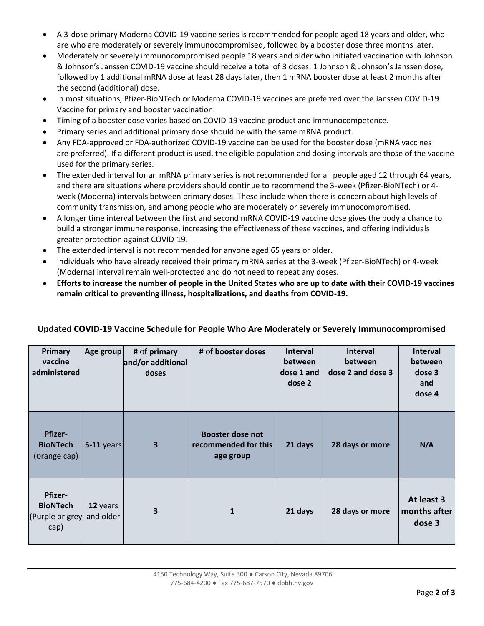- A 3-dose primary Moderna COVID-19 vaccine series is recommended for people aged 18 years and older, who are who are moderately or severely immunocompromised, followed by a booster dose three months later.
- Moderately or severely immunocompromised people 18 years and older who initiated vaccination with Johnson & Johnson's Janssen COVID-19 vaccine should receive a total of 3 doses: 1 Johnson & Johnson's Janssen dose, followed by 1 additional mRNA dose at least 28 days later, then 1 mRNA booster dose at least 2 months after the second (additional) dose.
- In most situations, Pfizer-BioNTech or Moderna COVID-19 vaccines are preferred over the Janssen COVID-19 Vaccine for primary and booster vaccination.
- Timing of a booster dose varies based on COVID-19 vaccine product and immunocompetence.
- Primary series and additional primary dose should be with the same mRNA product.
- Any FDA-approved or FDA-authorized COVID-19 vaccine can be used for the booster dose (mRNA vaccines are preferred). If a different product is used, the eligible population and dosing intervals are those of the vaccine used for the primary series.
- The extended interval for an mRNA primary series is not recommended for all people aged 12 through 64 years, and there are situations where providers should continue to recommend the 3-week (Pfizer-BioNTech) or 4 week (Moderna) intervals between primary doses. These include when there is concern about high levels of community transmission, and among people who are moderately or severely immunocompromised.
- A longer time interval between the first and second mRNA COVID-19 vaccine dose gives the body a chance to build a stronger immune response, increasing the effectiveness of these vaccines, and offering individuals greater protection against COVID-19.
- The extended interval is not recommended for anyone aged 65 years or older.
- Individuals who have already received their primary mRNA series at the 3-week (Pfizer-BioNTech) or 4-week (Moderna) interval remain well-protected and do not need to repeat any doses.
- **Efforts to increase the number of people in the United States who are up to date with their COVID-19 vaccines remain critical to preventing illness, hospitalizations, and deaths from COVID-19.**

| Primary<br>vaccine<br>administered                           | Age group             | # of primary<br>and/or additional<br>doses | # of booster doses                                           | <b>Interval</b><br>between<br>dose 1 and<br>dose 2 | <b>Interval</b><br>between<br>dose 2 and dose 3 | <b>Interval</b><br>between<br>dose 3<br>and<br>dose 4 |
|--------------------------------------------------------------|-----------------------|--------------------------------------------|--------------------------------------------------------------|----------------------------------------------------|-------------------------------------------------|-------------------------------------------------------|
| <b>Pfizer-</b><br><b>BioNTech</b><br>(orange cap)            | $5-11$ years          | $\overline{\mathbf{3}}$                    | <b>Booster dose not</b><br>recommended for this<br>age group | 21 days                                            | 28 days or more                                 | N/A                                                   |
| <b>Pfizer-</b><br><b>BioNTech</b><br>(Purple or grey<br>cap) | 12 years<br>and older | 3                                          | 1                                                            | 21 days                                            | 28 days or more                                 | At least 3<br>months after<br>dose 3                  |

### **Updated COVID-19 Vaccine Schedule for People Who Are Moderately or Severely Immunocompromised**